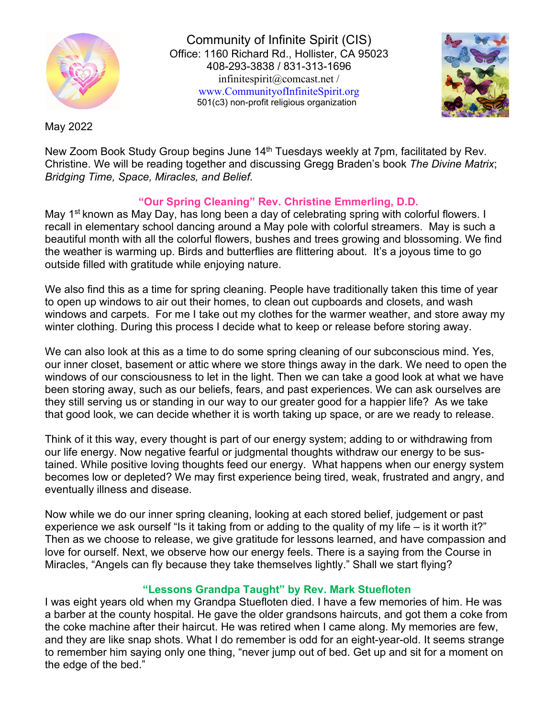

Community of Infinite Spirit (CIS) Office: 1160 Richard Rd., Hollister, CA 95023 408-293-3838 / 831-313-1696 [infinitespirit@comcast.net /](mailto:infinitespirit@comcast.net)  [www.CommunityofInfiniteSpirit.org](http://www.communityofinfinitespirit.org/) 501(c3) non-profit religious organization



May 2022

New Zoom Book Study Group begins June 14<sup>th</sup> Tuesdays weekly at 7pm, facilitated by Rev. Christine. We will be reading together and discussing Gregg Braden's book *The Divine Matrix*; *Bridging Time, Space, Miracles, and Belief.* 

## **"Our Spring Cleaning" Rev. Christine Emmerling, D.D.**

May 1<sup>st</sup> known as May Day, has long been a day of celebrating spring with colorful flowers. I recall in elementary school dancing around a May pole with colorful streamers. May is such a beautiful month with all the colorful flowers, bushes and trees growing and blossoming. We find the weather is warming up. Birds and butterflies are flittering about. It's a joyous time to go outside filled with gratitude while enjoying nature.

We also find this as a time for spring cleaning. People have traditionally taken this time of year to open up windows to air out their homes, to clean out cupboards and closets, and wash windows and carpets. For me I take out my clothes for the warmer weather, and store away my winter clothing. During this process I decide what to keep or release before storing away.

We can also look at this as a time to do some spring cleaning of our subconscious mind. Yes, our inner closet, basement or attic where we store things away in the dark. We need to open the windows of our consciousness to let in the light. Then we can take a good look at what we have been storing away, such as our beliefs, fears, and past experiences. We can ask ourselves are they still serving us or standing in our way to our greater good for a happier life? As we take that good look, we can decide whether it is worth taking up space, or are we ready to release.

Think of it this way, every thought is part of our energy system; adding to or withdrawing from our life energy. Now negative fearful or judgmental thoughts withdraw our energy to be sustained. While positive loving thoughts feed our energy. What happens when our energy system becomes low or depleted? We may first experience being tired, weak, frustrated and angry, and eventually illness and disease.

Now while we do our inner spring cleaning, looking at each stored belief, judgement or past experience we ask ourself "Is it taking from or adding to the quality of my life – is it worth it?" Then as we choose to release, we give gratitude for lessons learned, and have compassion and love for ourself. Next, we observe how our energy feels. There is a saying from the Course in Miracles, "Angels can fly because they take themselves lightly." Shall we start flying?

## **"Lessons Grandpa Taught" by Rev. Mark Stuefloten**

I was eight years old when my Grandpa Stuefloten died. I have a few memories of him. He was a barber at the county hospital. He gave the older grandsons haircuts, and got them a coke from the coke machine after their haircut. He was retired when I came along. My memories are few, and they are like snap shots. What I do remember is odd for an eight-year-old. It seems strange to remember him saying only one thing, "never jump out of bed. Get up and sit for a moment on the edge of the bed."